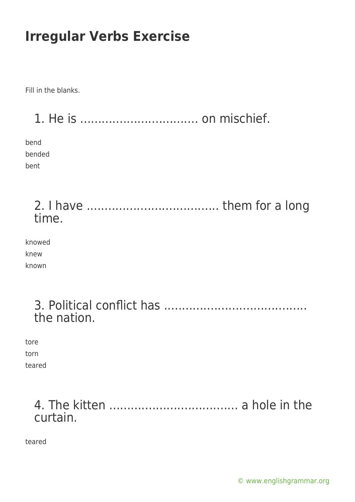Fill in the blanks.

1. He is ................................. on mischief.

bend bended bent

> 2. I have ..................................... them for a long time.

| knowed |  |
|--------|--|
| knew   |  |
| known  |  |

| the nation. |  |  |  |  |  |
|-------------|--|--|--|--|--|

tore torn

teared

## 4. The kitten .................................... a hole in the curtain.

teared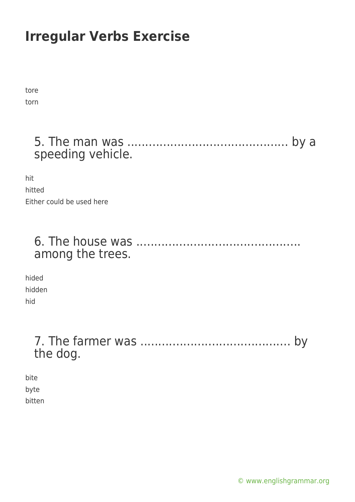tore torn

## 5. The man was ............................................. by a speeding vehicle.

hit hitted Either could be used here

### 6. The house was .............................................. among the trees.

hided hidden hid

## 7. The farmer was .......................................... by the dog.

bite byte bitten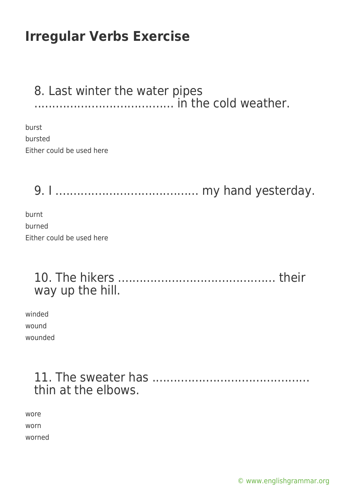#### 8. Last winter the water pipes ....................................... in the cold weather.

burst bursted Either could be used here

9. I ........................................ my hand yesterday.

burnt burned Either could be used here

### 10. The hikers ............................................ their way up the hill.

winded wound wounded

## 11. The sweater has ............................................ thin at the elbows.

wore worn worned